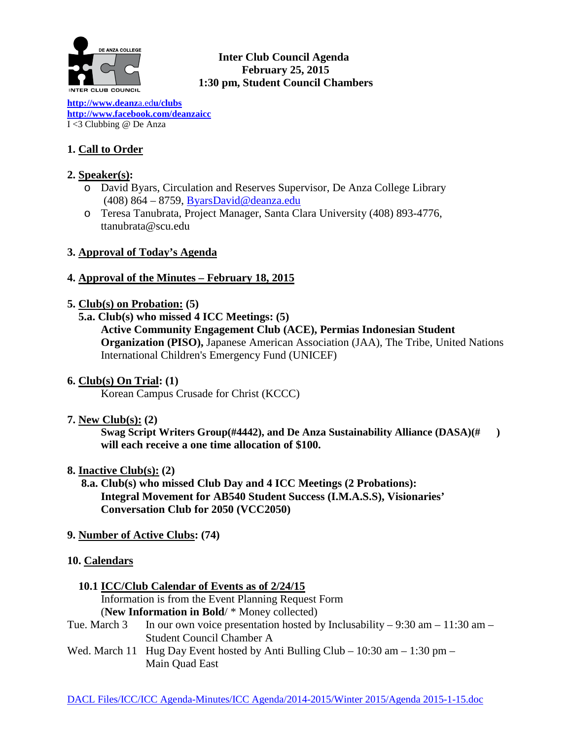

# **Inter Club Council Agenda February 25, 2015 1:30 pm, Student Council Chambers**

**[http://www.deanz](http://www.deanza.edu/clubs)**a.ed**u/clubs [http://www.facebook.com/deanzaicc](http://www.facebook.com/home.php%23!/group.php?gid=59034552686)** I <3 Clubbing @ De Anza

# **1. Call to Order**

# **2. Speaker(s):**

- o David Byars, Circulation and Reserves Supervisor, De Anza College Library (408) 864 – 8759, [ByarsDavid@deanza.edu](mailto:ByarsDavid@deanza.edu)
- o Teresa Tanubrata, Project Manager, Santa Clara University (408) 893-4776, ttanubrata@scu.edu

# **3. Approval of Today's Agenda**

# **4. Approval of the Minutes – February 18, 2015**

- **5. Club(s) on Probation: (5)**
	- **5.a. Club(s) who missed 4 ICC Meetings: (5)**

# **Active Community Engagement Club (ACE), Permias Indonesian Student Organization (PISO),** Japanese American Association (JAA), The Tribe, United Nations International Children's Emergency Fund (UNICEF)

# **6. Club(s) On Trial: (1)**

Korean Campus Crusade for Christ (KCCC)

# **7. New Club(s): (2)**

**Swag Script Writers Group(#4442), and De Anza Sustainability Alliance (DASA)(# ) will each receive a one time allocation of \$100.**

**8. Inactive Club(s): (2)**

 **8.a. Club(s) who missed Club Day and 4 ICC Meetings (2 Probations): Integral Movement for AB540 Student Success (I.M.A.S.S), Visionaries' Conversation Club for 2050 (VCC2050)** 

**9. Number of Active Clubs: (74)**

# **10. Calendars**

 **10.1 ICC/Club Calendar of Events as of 2/24/15**

 Information is from the Event Planning Request Form (**New Information in Bold**/ \* Money collected)

- Tue. March 3 In our own voice presentation hosted by Inclusability 9:30 am 11:30 am Student Council Chamber A
- Wed. March 11 Hug Day Event hosted by Anti Bulling Club 10:30 am 1:30 pm Main Quad East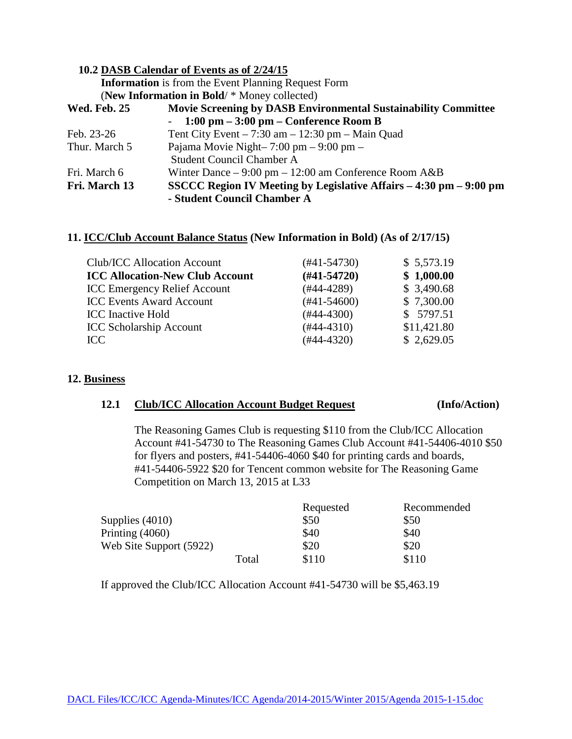|                     | 10.2 DASB Calendar of Events as of 2/24/15                              |
|---------------------|-------------------------------------------------------------------------|
|                     | <b>Information</b> is from the Event Planning Request Form              |
|                     | (New Information in Bold/ * Money collected)                            |
| <b>Wed. Feb. 25</b> | Movie Screening by DASB Environmental Sustainability Committee          |
|                     | $-1:00 \text{ pm} - 3:00 \text{ pm} - \text{Conference Room B}$         |
| Feb. 23-26          | Tent City Event $-7:30$ am $-12:30$ pm $-$ Main Quad                    |
| Thur. March 5       | Pajama Movie Night- $7:00 \text{ pm} - 9:00 \text{ pm} -$               |
|                     | <b>Student Council Chamber A</b>                                        |
| Fri. March 6        | Winter Dance $-9:00 \text{ pm} - 12:00 \text{ am Conference Room } A&B$ |
| Fri. March 13       | SSCCC Region IV Meeting by Legislative Affairs – 4:30 pm – 9:00 pm      |
|                     | - Student Council Chamber A                                             |

#### **11. ICC/Club Account Balance Status (New Information in Bold) (As of 2/17/15)**

| Club/ICC Allocation Account            | $(#41-54730)$ | \$5,573.19  |
|----------------------------------------|---------------|-------------|
| <b>ICC Allocation-New Club Account</b> | $(H41-54720)$ | \$1,000.00  |
| <b>ICC Emergency Relief Account</b>    | $(#44-4289)$  | \$3,490.68  |
| <b>ICC Events Award Account</b>        | $(#41-54600)$ | \$7,300.00  |
| <b>ICC</b> Inactive Hold               | $(#44-4300)$  | \$5797.51   |
| <b>ICC Scholarship Account</b>         | $(#44-4310)$  | \$11,421.80 |
| ICC                                    | $(#44-4320)$  | \$2,629.05  |

### **12. Business**

#### **12.1 Club/ICC Allocation Account Budget Request (Info/Action)**

The Reasoning Games Club is requesting \$110 from the Club/ICC Allocation Account #41-54730 to The Reasoning Games Club Account #41-54406-4010 \$50 for flyers and posters, #41-54406-4060 \$40 for printing cards and boards, #41-54406-5922 \$20 for Tencent common website for The Reasoning Game Competition on March 13, 2015 at L33

|                         |       | Requested | Recommended |
|-------------------------|-------|-----------|-------------|
| Supplies $(4010)$       |       | \$50      | \$50        |
| Printing $(4060)$       |       | \$40      | \$40        |
| Web Site Support (5922) |       | \$20      | \$20        |
|                         | Total | \$110     | \$110       |

If approved the Club/ICC Allocation Account #41-54730 will be \$5,463.19